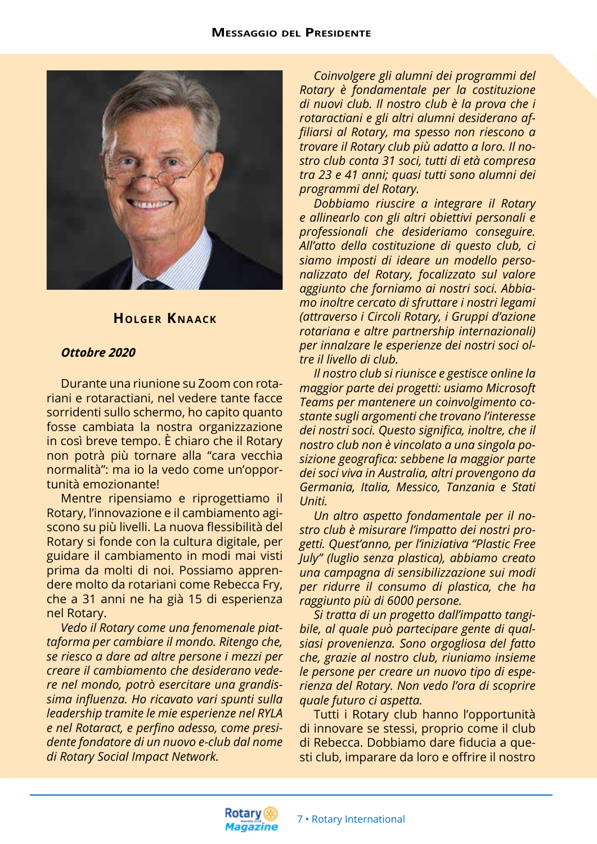

## **Holger Kna ack**

## *Ottobre 2020*

Durante una riunione su Zoom con rotariani e rotaractiani, nel vedere tante facce sorridenti sullo schermo, ho capito quanto fosse cambiata la nostra organizzazione in così breve tempo. È chiaro che il Rotary non potrà più tornare alla "cara vecchia normalità": ma io la vedo come un'opportunità emozionante!

Mentre ripensiamo e riprogettiamo il Rotary, l'innovazione e il cambiamento agiscono su più livelli. La nuova flessibilità del Rotary si fonde con la cultura digitale, per guidare il cambiamento in modi mai visti prima da molti di noi. Possiamo apprendere molto da rotariani come Rebecca Fry, che a 31 anni ne ha già 15 di esperienza nel Rotary.

*Vedo il Rotary come una fenomenale piattaforma per cambiare il mondo. Ritengo che, se riesco a dare ad altre persone i mezzi per creare il cambiamento che desiderano vedere nel mondo, potrò esercitare una grandissima influenza. Ho ricavato vari spunti sulla leadership tramite le mie esperienze nel RYLA e nel Rotaract, e perfino adesso, come presidente fondatore di un nuovo e-club dal nome di Rotary Social Impact Network.*

*Coinvolgere gli alumni dei programmi del Rotary è fondamentale per la costituzione di nuovi club. Il nostro club è la prova che i rotaractiani e gli altri alumni desiderano affiliarsi al Rotary, ma spesso non riescono a trovare il Rotary club più adatto a loro. Il nostro club conta 31 soci, tutti di età compresa tra 23 e 41 anni; quasi tutti sono alumni dei programmi del Rotary.*

*Dobbiamo riuscire a integrare il Rotary e allinearlo con gli altri obiettivi personali e professionali che desideriamo conseguire. All'atto della costituzione di questo club, ci siamo imposti di ideare un modello personalizzato del Rotary, focalizzato sul valore aggiunto che forniamo ai nostri soci. Abbiamo inoltre cercato di sfruttare i nostri legami (attraverso i Circoli Rotary, i Gruppi d'azione rotariana e altre partnership internazionali) per innalzare le esperienze dei nostri soci oltre il livello di club.*

*Il nostro club si riunisce e gestisce online la maggior parte dei progetti: usiamo Microsoft Teams per mantenere un coinvolgimento costante sugli argomenti che trovano l'interesse dei nostri soci. Questo significa, inoltre, che il nostro club non è vincolato a una singola posizione geografica: sebbene la maggior parte dei soci viva in Australia, altri provengono da Germania, Italia, Messico, Tanzania e Stati Uniti.*

*Un altro aspetto fondamentale per il nostro club è misurare l'impatto dei nostri progetti. Quest'anno, per l'iniziativa "Plastic Free July" (luglio senza plastica), abbiamo creato una campagna di sensibilizzazione sui modi per ridurre il consumo di plastica, che ha raggiunto più di 6000 persone.* 

*Si tratta di un progetto dall'impatto tangibile, al quale può partecipare gente di qualsiasi provenienza. Sono orgogliosa del fatto che, grazie al nostro club, riuniamo insieme le persone per creare un nuovo tipo di esperienza del Rotary. Non vedo l'ora di scoprire quale futuro ci aspetta.*

Tutti i Rotary club hanno l'opportunità di innovare se stessi, proprio come il club di Rebecca. Dobbiamo dare fiducia a questi club, imparare da loro e offrire il nostro

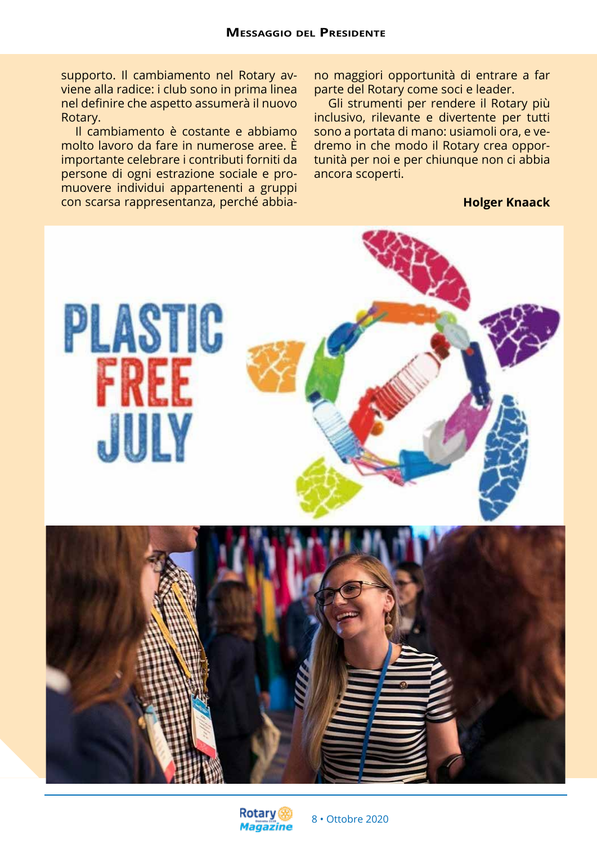supporto. Il cambiamento nel Rotary avviene alla radice: i club sono in prima linea nel definire che aspetto assumerà il nuovo Rotary.

Il cambiamento è costante e abbiamo molto lavoro da fare in numerose aree. È importante celebrare i contributi forniti da persone di ogni estrazione sociale e promuovere individui appartenenti a gruppi con scarsa rappresentanza, perché abbia-

no maggiori opportunità di entrare a far parte del Rotary come soci e leader.

Gli strumenti per rendere il Rotary più inclusivo, rilevante e divertente per tutti sono a portata di mano: usiamoli ora, e vedremo in che modo il Rotary crea opportunità per noi e per chiunque non ci abbia ancora scoperti.

#### **Holger Knaack**



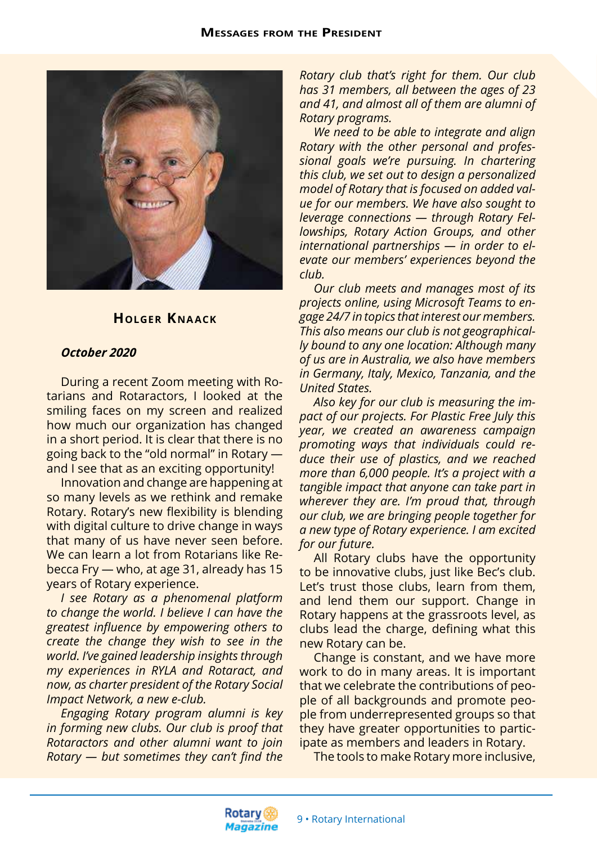

### **Holger Kna ack**

#### *October 2020*

During a recent Zoom meeting with Rotarians and Rotaractors, I looked at the smiling faces on my screen and realized how much our organization has changed in a short period. It is clear that there is no going back to the "old normal" in Rotary and I see that as an exciting opportunity!

Innovation and change are happening at so many levels as we rethink and remake Rotary. Rotary's new flexibility is blending with digital culture to drive change in ways that many of us have never seen before. We can learn a lot from Rotarians like Rebecca Fry — who, at age 31, already has 15 years of Rotary experience.

*I see Rotary as a phenomenal platform to change the world. I believe I can have the greatest influence by empowering others to create the change they wish to see in the world. I've gained leadership insights through my experiences in RYLA and Rotaract, and now, as charter president of the Rotary Social Impact Network, a new e-club.*

*Engaging Rotary program alumni is key in forming new clubs. Our club is proof that Rotaractors and other alumni want to join Rotary — but sometimes they can't find the* 

*Rotary club that's right for them. Our club has 31 members, all between the ages of 23 and 41, and almost all of them are alumni of Rotary programs.*

*We need to be able to integrate and align Rotary with the other personal and professional goals we're pursuing. In chartering this club, we set out to design a personalized model of Rotary that is focused on added value for our members. We have also sought to leverage connections — through Rotary Fellowships, Rotary Action Groups, and other international partnerships — in order to elevate our members' experiences beyond the club.*

*Our club meets and manages most of its projects online, using Microsoft Teams to engage 24/7 in topics that interest our members. This also means our club is not geographically bound to any one location: Although many of us are in Australia, we also have members in Germany, Italy, Mexico, Tanzania, and the United States.*

*Also key for our club is measuring the impact of our projects. For Plastic Free July this year, we created an awareness campaign promoting ways that individuals could reduce their use of plastics, and we reached more than 6,000 people. It's a project with a tangible impact that anyone can take part in wherever they are. I'm proud that, through our club, we are bringing people together for a new type of Rotary experience. I am excited for our future.*

All Rotary clubs have the opportunity to be innovative clubs, just like Bec's club. Let's trust those clubs, learn from them, and lend them our support. Change in Rotary happens at the grassroots level, as clubs lead the charge, defining what this new Rotary can be.

Change is constant, and we have more work to do in many areas. It is important that we celebrate the contributions of people of all backgrounds and promote people from underrepresented groups so that they have greater opportunities to participate as members and leaders in Rotary.

The tools to make Rotary more inclusive,